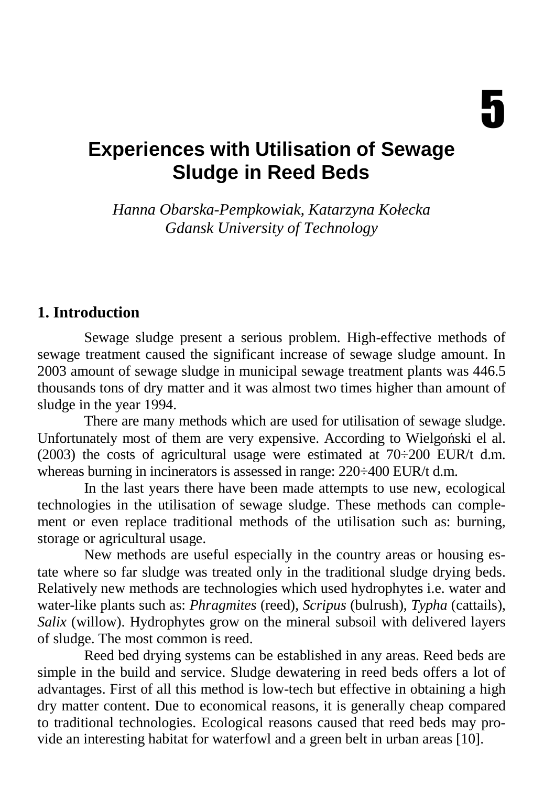# **Experiences with Utilisation of Sewage Sludge in Reed Beds**

*Hanna Obarska-Pempkowiak, Katarzyna Kołecka Gdansk University of Technology* 

#### **1. Introduction**

Sewage sludge present a serious problem. High-effective methods of sewage treatment caused the significant increase of sewage sludge amount. In 2003 amount of sewage sludge in municipal sewage treatment plants was 446.5 thousands tons of dry matter and it was almost two times higher than amount of sludge in the year 1994.

There are many methods which are used for utilisation of sewage sludge. Unfortunately most of them are very expensive. According to Wielgoński el al. (2003) the costs of agricultural usage were estimated at  $70\div 200$  EUR/t d.m. whereas burning in incinerators is assessed in range: 220÷400 EUR/t d.m.

In the last years there have been made attempts to use new, ecological technologies in the utilisation of sewage sludge. These methods can complement or even replace traditional methods of the utilisation such as: burning, storage or agricultural usage.

New methods are useful especially in the country areas or housing estate where so far sludge was treated only in the traditional sludge drying beds. Relatively new methods are technologies which used hydrophytes i.e. water and water-like plants such as: *Phragmites* (reed), *Scripus* (bulrush), *Typha* (cattails), *Salix* (willow). Hydrophytes grow on the mineral subsoil with delivered layers of sludge. The most common is reed.

Reed bed drying systems can be established in any areas. Reed beds are simple in the build and service. Sludge dewatering in reed beds offers a lot of advantages. First of all this method is low-tech but effective in obtaining a high dry matter content. Due to economical reasons, it is generally cheap compared to traditional technologies. Ecological reasons caused that reed beds may provide an interesting habitat for waterfowl and a green belt in urban areas [10].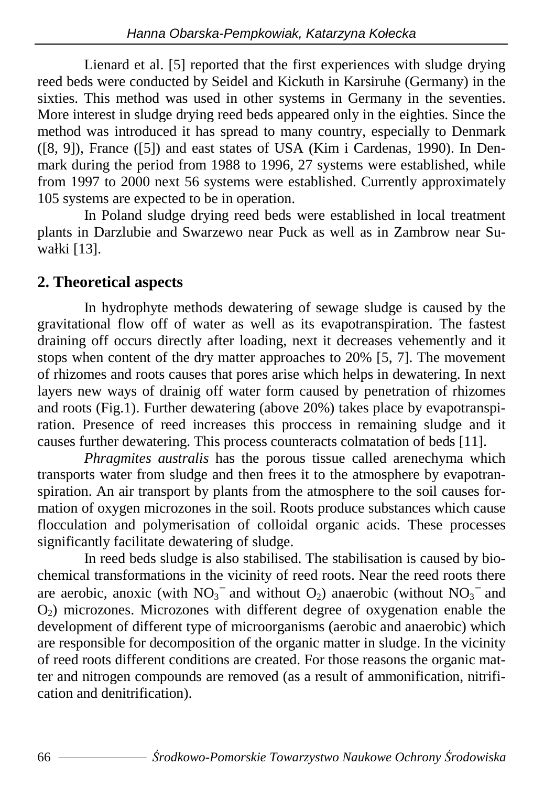Lienard et al. [5] reported that the first experiences with sludge drying reed beds were conducted by Seidel and Kickuth in Karsiruhe (Germany) in the sixties. This method was used in other systems in Germany in the seventies. More interest in sludge drying reed beds appeared only in the eighties. Since the method was introduced it has spread to many country, especially to Denmark ([8, 9]), France ([5]) and east states of USA (Kim i Cardenas, 1990). In Denmark during the period from 1988 to 1996, 27 systems were established, while from 1997 to 2000 next 56 systems were established. Currently approximately 105 systems are expected to be in operation.

In Poland sludge drying reed beds were established in local treatment plants in Darzlubie and Swarzewo near Puck as well as in Zambrow near Suwałki [13].

#### **2. Theoretical aspects**

In hydrophyte methods dewatering of sewage sludge is caused by the gravitational flow off of water as well as its evapotranspiration. The fastest draining off occurs directly after loading, next it decreases vehemently and it stops when content of the dry matter approaches to 20% [5, 7]. The movement of rhizomes and roots causes that pores arise which helps in dewatering. In next layers new ways of drainig off water form caused by penetration of rhizomes and roots (Fig.1). Further dewatering (above 20%) takes place by evapotranspiration. Presence of reed increases this proccess in remaining sludge and it causes further dewatering. This process counteracts colmatation of beds [11].

*Phragmites australis* has the porous tissue called arenechyma which transports water from sludge and then frees it to the atmosphere by evapotranspiration. An air transport by plants from the atmosphere to the soil causes formation of oxygen microzones in the soil. Roots produce substances which cause flocculation and polymerisation of colloidal organic acids. These processes significantly facilitate dewatering of sludge.

In reed beds sludge is also stabilised. The stabilisation is caused by biochemical transformations in the vicinity of reed roots. Near the reed roots there are aerobic, anoxic (with  $NO_3^-$  and without  $O_2$ ) anaerobic (without  $NO_3^-$  and  $O<sub>2</sub>$ ) microzones. Microzones with different degree of oxygenation enable the development of different type of microorganisms (aerobic and anaerobic) which are responsible for decomposition of the organic matter in sludge. In the vicinity of reed roots different conditions are created. For those reasons the organic matter and nitrogen compounds are removed (as a result of ammonification, nitrification and denitrification).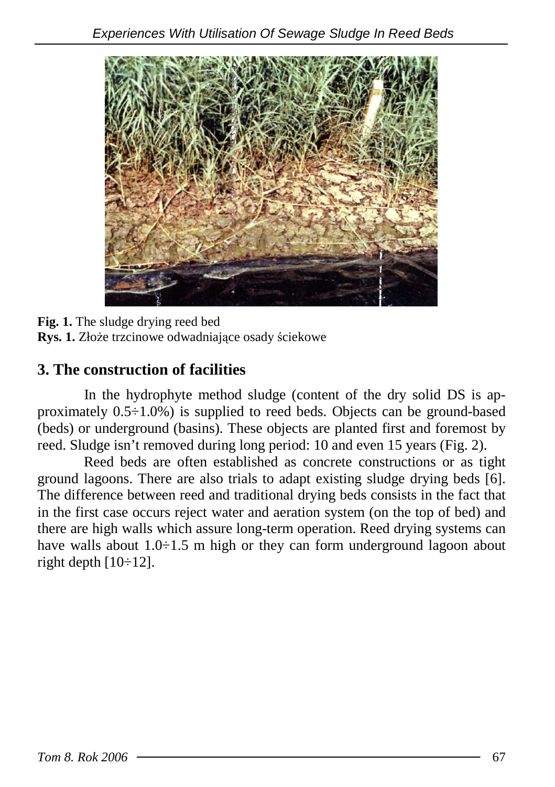

**Fig. 1.** The sludge drying reed bed Rys. 1. Złoże trzcinowe odwadniające osady ściekowe

### **3. The construction of facilities**

In the hydrophyte method sludge (content of the dry solid DS is approximately 0.5÷1.0%) is supplied to reed beds. Objects can be ground-based (beds) or underground (basins). These objects are planted first and foremost by reed. Sludge isn't removed during long period: 10 and even 15 years (Fig. 2).

Reed beds are often established as concrete constructions or as tight ground lagoons. There are also trials to adapt existing sludge drying beds [6]. The difference between reed and traditional drying beds consists in the fact that in the first case occurs reject water and aeration system (on the top of bed) and there are high walls which assure long-term operation. Reed drying systems can have walls about 1.0÷1.5 m high or they can form underground lagoon about right depth  $[10 \div 12]$ .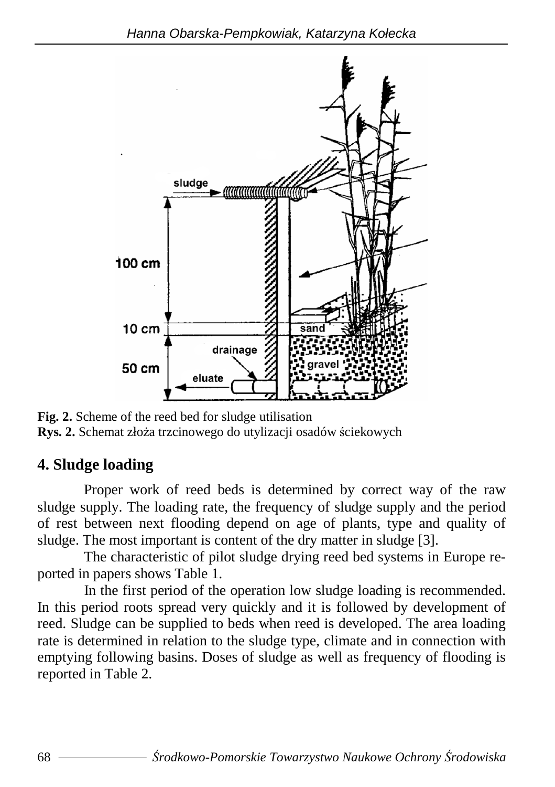

**Fig. 2.** Scheme of the reed bed for sludge utilisation **Rys. 2.** Schemat złoża trzcinowego do utylizacji osadów ściekowych

# **4. Sludge loading**

Proper work of reed beds is determined by correct way of the raw sludge supply. The loading rate, the frequency of sludge supply and the period of rest between next flooding depend on age of plants, type and quality of sludge. The most important is content of the dry matter in sludge [3].

The characteristic of pilot sludge drying reed bed systems in Europe reported in papers shows Table 1.

In the first period of the operation low sludge loading is recommended. In this period roots spread very quickly and it is followed by development of reed. Sludge can be supplied to beds when reed is developed. The area loading rate is determined in relation to the sludge type, climate and in connection with emptying following basins. Doses of sludge as well as frequency of flooding is reported in Table 2.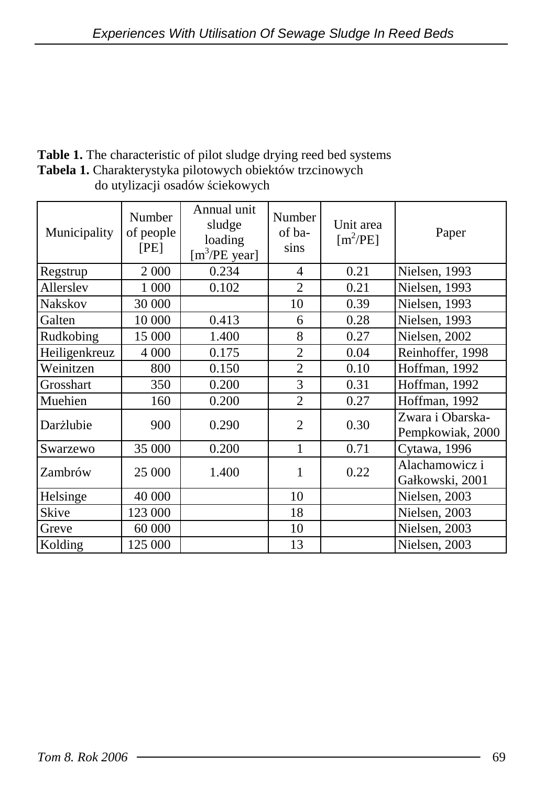| Table 1. The characteristic of pilot sludge drying reed bed systems |
|---------------------------------------------------------------------|
| <b>Tabela 1.</b> Charakterystyka pilotowych obiektów trzcinowych    |
| do utylizacji osadów ściekowych                                     |

| Municipality   | Number<br>of people<br>[PE] | Annual unit<br>sludge<br>loading<br>$[m^3/PE \text{ year}]$ | Number<br>of ba-<br>sins | Unit area<br>$[m^2/PE]$ | Paper                                |
|----------------|-----------------------------|-------------------------------------------------------------|--------------------------|-------------------------|--------------------------------------|
| Regstrup       | 2 0 0 0                     | 0.234                                                       | 4                        | 0.21                    | Nielsen, 1993                        |
| Allersley      | 1 0 0 0                     | 0.102                                                       | $\overline{2}$           | 0.21                    | Nielsen, 1993                        |
| <b>Nakskov</b> | 30 000                      |                                                             | 10                       | 0.39                    | Nielsen, 1993                        |
| Galten         | 10 000                      | 0.413                                                       | 6                        | 0.28                    | Nielsen, 1993                        |
| Rudkobing      | 15 000                      | 1.400                                                       | 8                        | 0.27                    | Nielsen, 2002                        |
| Heiligenkreuz  | 4 0 0 0                     | 0.175                                                       | $\overline{2}$           | 0.04                    | Reinhoffer, 1998                     |
| Weinitzen      | 800                         | 0.150                                                       | $\overline{2}$           | 0.10                    | Hoffman, 1992                        |
| Grosshart      | 350                         | 0.200                                                       | 3                        | 0.31                    | Hoffman, 1992                        |
| Muehien        | 160                         | 0.200                                                       | $\overline{2}$           | 0.27                    | Hoffman, 1992                        |
| Darżlubie      | 900                         | 0.290                                                       | $\overline{2}$           | 0.30                    | Zwara i Obarska-<br>Pempkowiak, 2000 |
| Swarzewo       | 35 000                      | 0.200                                                       | $\mathbf{1}$             | 0.71                    | Cytawa, 1996                         |
| Zambrów        | 25 000                      | 1.400                                                       | 1                        | 0.22                    | Alachamowicz i<br>Gałkowski, 2001    |
| Helsinge       | 40 000                      |                                                             | 10                       |                         | Nielsen, 2003                        |
| Skive          | 123 000                     |                                                             | 18                       |                         | Nielsen, 2003                        |
| Greve          | 60 000                      |                                                             | 10                       |                         | Nielsen, 2003                        |
| Kolding        | 125 000                     |                                                             | 13                       |                         | Nielsen, 2003                        |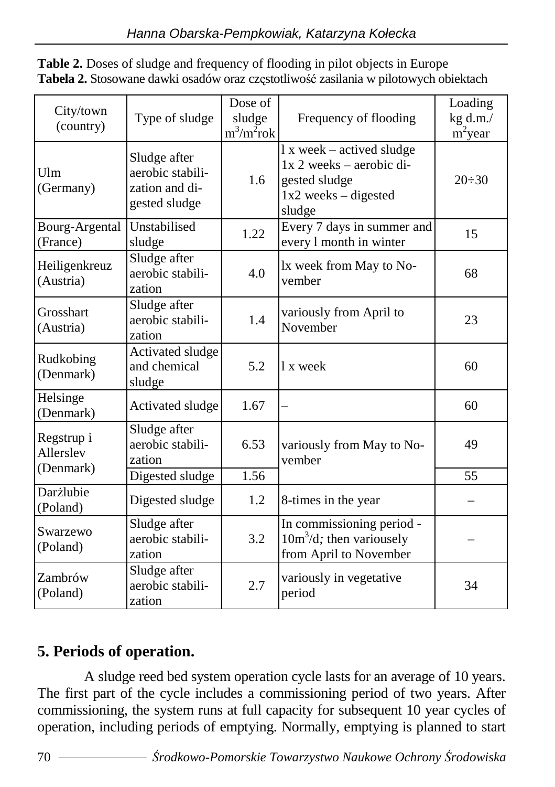| City/town<br>(country)               | Type of sludge                                                      | Dose of<br>sludge<br>$m^3/m^2$ rok | Frequency of flooding                                                                                      | Loading<br>kg d.m./<br>$m^2$ year |
|--------------------------------------|---------------------------------------------------------------------|------------------------------------|------------------------------------------------------------------------------------------------------------|-----------------------------------|
| Ulm<br>(Germany)                     | Sludge after<br>aerobic stabili-<br>zation and di-<br>gested sludge | 1.6                                | 1 x week – actived sludge<br>$1x$ 2 weeks – aerobic di-<br>gested sludge<br>1x2 weeks - digested<br>sludge | $20 \div 30$                      |
| Bourg-Argental<br>(France)           | Unstabilised<br>sludge                                              | 1.22                               | Every 7 days in summer and<br>every 1 month in winter                                                      | 15                                |
| Heiligenkreuz<br>(Austria)           | Sludge after<br>aerobic stabili-<br>zation                          | 4.0                                | lx week from May to No-<br>vember                                                                          | 68                                |
| Grosshart<br>(Austria)               | Sludge after<br>aerobic stabili-<br>zation                          | 1.4                                | variously from April to<br>November                                                                        | 23                                |
| Rudkobing<br>(Denmark)               | Activated sludge<br>and chemical<br>sludge                          | 5.2                                | 1 x week                                                                                                   | 60                                |
| Helsinge<br>(Denmark)                | Activated sludge                                                    | 1.67                               |                                                                                                            | 60                                |
| Regstrup i<br>Allerslev<br>(Denmark) | Sludge after<br>aerobic stabili-<br>zation                          | 6.53                               | variously from May to No-<br>vember                                                                        | 49                                |
|                                      | Digested sludge                                                     | 1.56                               |                                                                                                            | 55                                |
| Darżlubie<br>(Poland)                | Digested sludge                                                     | 1.2                                | 8-times in the year                                                                                        |                                   |
| Swarzewo<br>(Poland)                 | Sludge after<br>aerobic stabili-<br>zation                          | 3.2                                | In commissioning period -<br>$10m3/d$ ; then variousely<br>from April to November                          |                                   |
| Zambrów<br>(Poland)                  | Sludge after<br>aerobic stabili-<br>zation                          | 2.7                                | variously in vegetative<br>period                                                                          | 34                                |

**Table 2.** Doses of sludge and frequency of flooding in pilot objects in Europe **Tabela 2.** Stosowane dawki osadów oraz częstotliwość zasilania w pilotowych obiektach

# **5. Periods of operation.**

A sludge reed bed system operation cycle lasts for an average of 10 years. The first part of the cycle includes a commissioning period of two years. After commissioning, the system runs at full capacity for subsequent 10 year cycles of operation, including periods of emptying. Normally, emptying is planned to start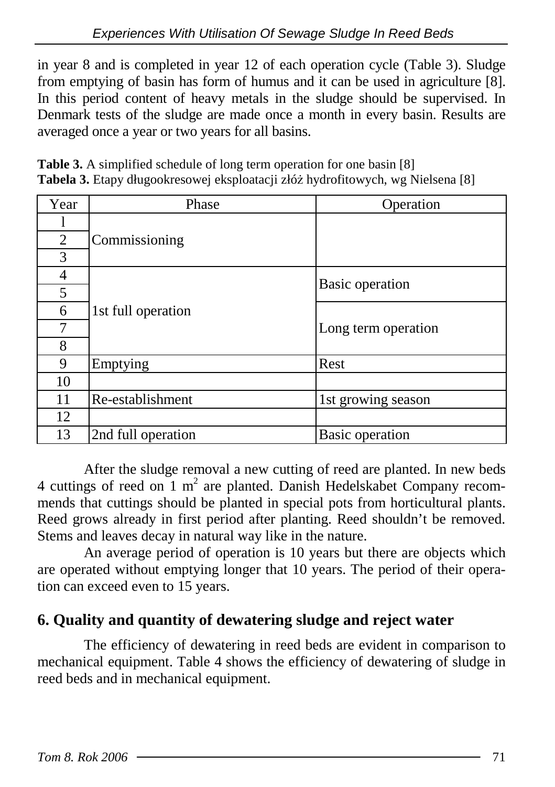in year 8 and is completed in year 12 of each operation cycle (Table 3). Sludge from emptying of basin has form of humus and it can be used in agriculture [8]. In this period content of heavy metals in the sludge should be supervised. In Denmark tests of the sludge are made once a month in every basin. Results are averaged once a year or two years for all basins.

**Table 3.** A simplified schedule of long term operation for one basin [8] **Tabela 3.** Etapy długookresowej eksploatacji złóż hydrofitowych, wg Nielsena [8]

| Year | Phase              | Operation              |
|------|--------------------|------------------------|
|      |                    |                        |
| 2    | Commissioning      |                        |
| 3    |                    |                        |
| 4    |                    |                        |
| 5    |                    | Basic operation        |
| 6    | 1st full operation |                        |
| 7    |                    | Long term operation    |
| 8    |                    |                        |
| 9    | Emptying           | Rest                   |
| 10   |                    |                        |
| 11   | Re-establishment   | 1st growing season     |
| 12   |                    |                        |
| 13   | 2nd full operation | <b>Basic</b> operation |

After the sludge removal a new cutting of reed are planted. In new beds 4 cuttings of reed on  $1 \text{ m}^2$  are planted. Danish Hedelskabet Company recommends that cuttings should be planted in special pots from horticultural plants. Reed grows already in first period after planting. Reed shouldn't be removed. Stems and leaves decay in natural way like in the nature.

An average period of operation is 10 years but there are objects which are operated without emptying longer that 10 years. The period of their operation can exceed even to 15 years.

#### **6. Quality and quantity of dewatering sludge and reject water**

The efficiency of dewatering in reed beds are evident in comparison to mechanical equipment. Table 4 shows the efficiency of dewatering of sludge in reed beds and in mechanical equipment.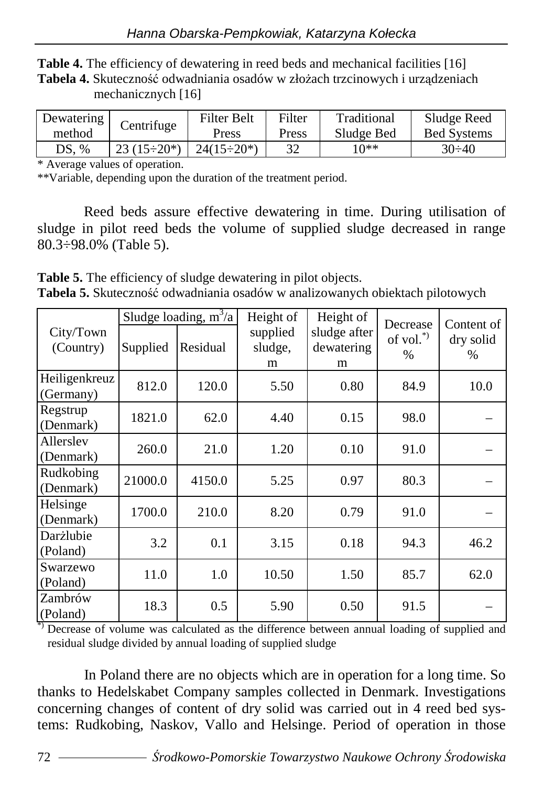**Table 4.** The efficiency of dewatering in reed beds and mechanical facilities [16] Tabela 4. Skuteczność odwadniania osadów w złożach trzcinowych i urządzeniach mechanicznych [16]

| Dewatering | Centrifuge         | Filter Belt        | Filter | Traditional | Sludge Reed        |
|------------|--------------------|--------------------|--------|-------------|--------------------|
| method     |                    | Press              | Press  | Sludge Bed  | <b>Bed Systems</b> |
| DS. %      | $23(15 \div 20^*)$ | $24(15 \div 20^*)$ |        | 1 በ**       | $30 \div 40$       |

\* Average values of operation.

\*\*Variable, depending upon the duration of the treatment period.

Reed beds assure effective dewatering in time. During utilisation of sludge in pilot reed beds the volume of supplied sludge decreased in range 80.3÷98.0% (Table 5).

**Table 5.** The efficiency of sludge dewatering in pilot objects. **Tabela 5.** Skuteczność odwadniania osadów w analizowanych obiektach pilotowych

|                            |          | Sludge loading, $m^3/a$ | Height of                | Height of                       | Decrease         | Content of        |
|----------------------------|----------|-------------------------|--------------------------|---------------------------------|------------------|-------------------|
| City/Town<br>(Country)     | Supplied | Residual                | supplied<br>sludge,<br>m | sludge after<br>dewatering<br>m | of vol."<br>$\%$ | dry solid<br>$\%$ |
| Heiligenkreuz<br>(Germany) | 812.0    | 120.0                   | 5.50                     | 0.80                            | 84.9             | 10.0              |
| Regstrup<br>(Denmark)      | 1821.0   | 62.0                    | 4.40                     | 0.15                            | 98.0             |                   |
| Allerslev<br>(Denmark)     | 260.0    | 21.0                    | 1.20                     | 0.10                            | 91.0             |                   |
| Rudkobing<br>(Denmark)     | 21000.0  | 4150.0                  | 5.25                     | 0.97                            | 80.3             |                   |
| Helsinge<br>(Denmark)      | 1700.0   | 210.0                   | 8.20                     | 0.79                            | 91.0             |                   |
| Darżlubie<br>(Poland)      | 3.2      | 0.1                     | 3.15                     | 0.18                            | 94.3             | 46.2              |
| Swarzewo<br>(Poland)       | 11.0     | 1.0                     | 10.50                    | 1.50                            | 85.7             | 62.0              |
| Zambrów<br>(Poland)        | 18.3     | 0.5                     | 5.90                     | 0.50                            | 91.5             |                   |

\*) Decrease of volume was calculated as the difference between annual loading of supplied and residual sludge divided by annual loading of supplied sludge

In Poland there are no objects which are in operation for a long time. So thanks to Hedelskabet Company samples collected in Denmark. Investigations concerning changes of content of dry solid was carried out in 4 reed bed systems: Rudkobing, Naskov, Vallo and Helsinge. Period of operation in those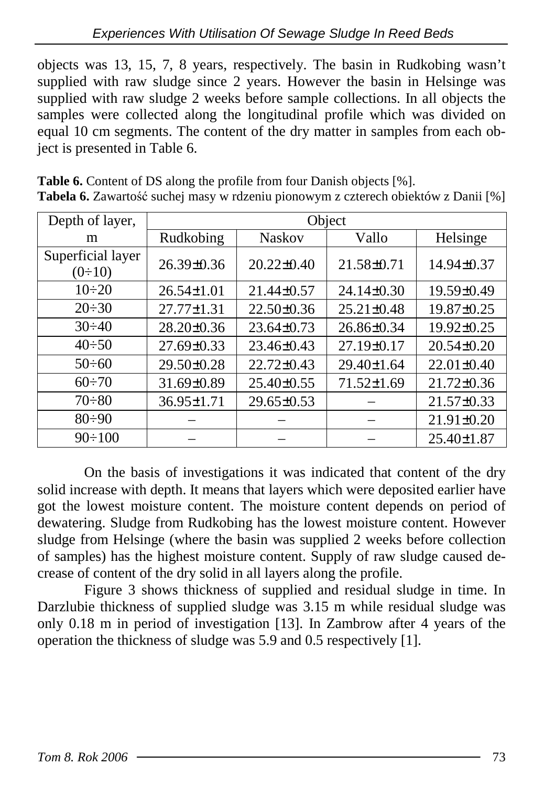objects was 13, 15, 7, 8 years, respectively. The basin in Rudkobing wasn't supplied with raw sludge since 2 years. However the basin in Helsinge was supplied with raw sludge 2 weeks before sample collections. In all objects the samples were collected along the longitudinal profile which was divided on equal 10 cm segments. The content of the dry matter in samples from each object is presented in Table 6.

| Depth of layer,               | Object           |                  |                  |                  |  |  |  |
|-------------------------------|------------------|------------------|------------------|------------------|--|--|--|
| m                             | Rudkobing        | <b>Naskov</b>    | Vallo            | Helsinge         |  |  |  |
| Superficial layer<br>$(0-10)$ | $26.39 \pm 0.36$ | $20.22 \pm 0.40$ | $21.58 \pm 0.71$ | 14.94±0.37       |  |  |  |
| $10 \div 20$                  | $26.54 \pm 1.01$ | $21.44\pm 0.57$  | $24.14\pm0.30$   | $19.59 \pm 0.49$ |  |  |  |
| $20 \div 30$                  | $27.77 \pm 1.31$ | $22.50\pm0.36$   | $25.21 \pm 0.48$ | 19.87±0.25       |  |  |  |
| $30 \div 40$                  | $28.20 \pm 0.36$ | $23.64 \pm 0.73$ | $26.86\pm0.34$   | $19.92 \pm 0.25$ |  |  |  |
| $40 \div 50$                  | $27.69 \pm 0.33$ | $23.46\pm0.43$   | $27.19 \pm 0.17$ | $20.54 \pm 0.20$ |  |  |  |
| $50 \div 60$                  | 29.50±0.28       | $22.72 \pm 0.43$ | 29.40±1.64       | $22.01 \pm 0.40$ |  |  |  |
| $60 \div 70$                  | 31.69±0.89       | $25.40\pm0.55$   | $71.52 \pm 1.69$ | $21.72 \pm 0.36$ |  |  |  |
| $70 \div 80$                  | 36.95±1.71       | $29.65 \pm 0.53$ |                  | $21.57\pm0.33$   |  |  |  |
| $80 \div 90$                  |                  |                  |                  | 21.91±0.20       |  |  |  |
| $90 \div 100$                 |                  |                  |                  | $25.40 \pm 1.87$ |  |  |  |

**Table 6.** Content of DS along the profile from four Danish objects [%]. **Tabela 6.** Zawartość suchej masy w rdzeniu pionowym z czterech obiektów z Danii [%]

On the basis of investigations it was indicated that content of the dry solid increase with depth. It means that layers which were deposited earlier have got the lowest moisture content. The moisture content depends on period of dewatering. Sludge from Rudkobing has the lowest moisture content. However sludge from Helsinge (where the basin was supplied 2 weeks before collection of samples) has the highest moisture content. Supply of raw sludge caused decrease of content of the dry solid in all layers along the profile.

Figure 3 shows thickness of supplied and residual sludge in time. In Darzlubie thickness of supplied sludge was 3.15 m while residual sludge was only 0.18 m in period of investigation [13]. In Zambrow after 4 years of the operation the thickness of sludge was 5.9 and 0.5 respectively [1].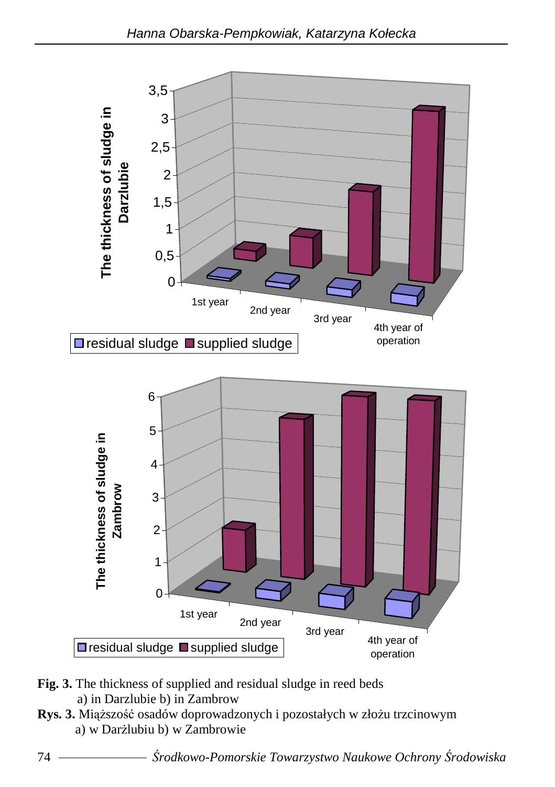

- **Fig. 3.** The thickness of supplied and residual sludge in reed beds a) in Darzlubie b) in Zambrow
- Rys. 3. Miąższość osadów doprowadzonych i pozostałych w złożu trzcinowym a) w Darżlubiu b) w Zambrowie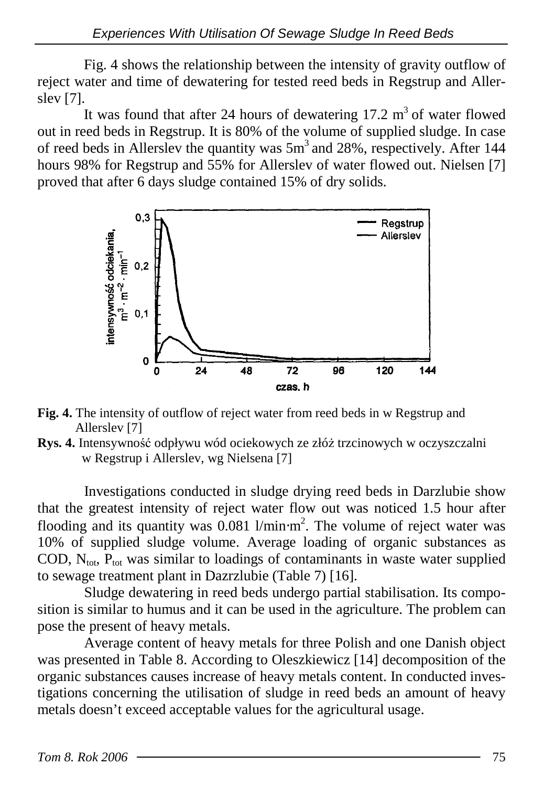Fig. 4 shows the relationship between the intensity of gravity outflow of reject water and time of dewatering for tested reed beds in Regstrup and Allerslev [7].

It was found that after 24 hours of dewatering  $17.2 \text{ m}^3$  of water flowed out in reed beds in Regstrup. It is 80% of the volume of supplied sludge. In case of reed beds in Allerslev the quantity was  $5m<sup>3</sup>$  and 28%, respectively. After 144 hours 98% for Regstrup and 55% for Allerslev of water flowed out. Nielsen [7] proved that after 6 days sludge contained 15% of dry solids.



- **Fig. 4.** The intensity of outflow of reject water from reed beds in w Regstrup and Allerslev [7]
- **Rys. 4.** Intensywność odpływu wód ociekowych ze złóż trzcinowych w oczyszczalni w Regstrup i Allerslev, wg Nielsena [7]

Investigations conducted in sludge drying reed beds in Darzlubie show that the greatest intensity of reject water flow out was noticed 1.5 hour after flooding and its quantity was  $0.081$  l/min⋅m<sup>2</sup>. The volume of reject water was 10% of supplied sludge volume. Average loading of organic substances as COD,  $N_{\text{tot}}$ ,  $P_{\text{tot}}$  was similar to loadings of contaminants in waste water supplied to sewage treatment plant in Dazrzlubie (Table 7) [16].

Sludge dewatering in reed beds undergo partial stabilisation. Its composition is similar to humus and it can be used in the agriculture. The problem can pose the present of heavy metals.

Average content of heavy metals for three Polish and one Danish object was presented in Table 8. According to Oleszkiewicz [14] decomposition of the organic substances causes increase of heavy metals content. In conducted investigations concerning the utilisation of sludge in reed beds an amount of heavy metals doesn't exceed acceptable values for the agricultural usage.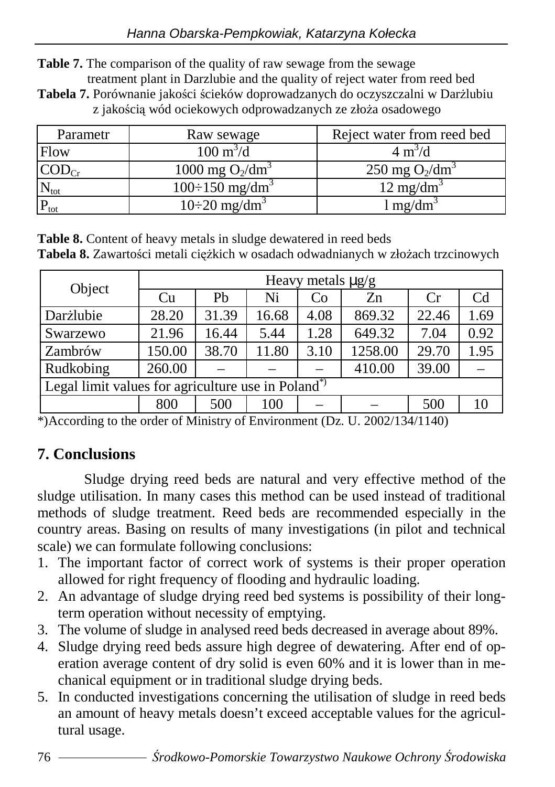**Table 7.** The comparison of the quality of raw sewage from the sewage treatment plant in Darzlubie and the quality of reject water from reed bed

Tabela 7. Porównanie jakości ścieków doprowadzanych do oczyszczalni w Darżlubiu z jakością wód ociekowych odprowadzanych ze złoża osadowego

| Parametr      | Raw sewage                        | Reject water from reed bed |
|---------------|-----------------------------------|----------------------------|
| Flow          | $100 \text{ m}^3/\text{d}$        | $4 \text{ m}^3/\text{d}$   |
|               | 1000 mg $O_2/dm^3$                | 250 mg $O_2/dm^3$          |
| $\rm N_{tot}$ | $100 \div 150$ mg/dm <sup>3</sup> | $12 \text{ mg/dm}^3$       |
| $P_{\rm tot}$ | $10\div 20$ mg/dm <sup>3</sup>    | $\log/dm^2$                |

**Table 8.** Content of heavy metals in sludge dewatered in reed beds Tabela 8. Zawartości metali ciężkich w osadach odwadnianych w złożach trzcinowych

| Object                                                          | Heavy metals $\mu$ g/g |       |       |      |         |       |                |
|-----------------------------------------------------------------|------------------------|-------|-------|------|---------|-------|----------------|
|                                                                 | Cu                     | Pb    | Ni    | Co   | Zn      | Cr    | C <sub>d</sub> |
| Darżlubie                                                       | 28.20                  | 31.39 | 16.68 | 4.08 | 869.32  | 22.46 | 1.69           |
| Swarzewo                                                        | 21.96                  | 16.44 | 5.44  | 1.28 | 649.32  | 7.04  | 0.92           |
| Zambrów                                                         | 150.00                 | 38.70 | 11.80 | 3.10 | 1258.00 | 29.70 | 1.95           |
| Rudkobing                                                       | 260.00                 |       |       |      | 410.00  | 39.00 |                |
| Legal limit values for agriculture use in Poland <sup>*</sup> ) |                        |       |       |      |         |       |                |
|                                                                 | 800                    | 500   | 100   |      |         | 500   | 10             |

\*)According to the order of Ministry of Environment (Dz. U. 2002/134/1140)

#### **7. Conclusions**

Sludge drying reed beds are natural and very effective method of the sludge utilisation. In many cases this method can be used instead of traditional methods of sludge treatment. Reed beds are recommended especially in the country areas. Basing on results of many investigations (in pilot and technical scale) we can formulate following conclusions:

- 1. The important factor of correct work of systems is their proper operation allowed for right frequency of flooding and hydraulic loading.
- 2. An advantage of sludge drying reed bed systems is possibility of their longterm operation without necessity of emptying.
- 3. The volume of sludge in analysed reed beds decreased in average about 89%.
- 4. Sludge drying reed beds assure high degree of dewatering. After end of operation average content of dry solid is even 60% and it is lower than in mechanical equipment or in traditional sludge drying beds.
- 5. In conducted investigations concerning the utilisation of sludge in reed beds an amount of heavy metals doesn't exceed acceptable values for the agricultural usage.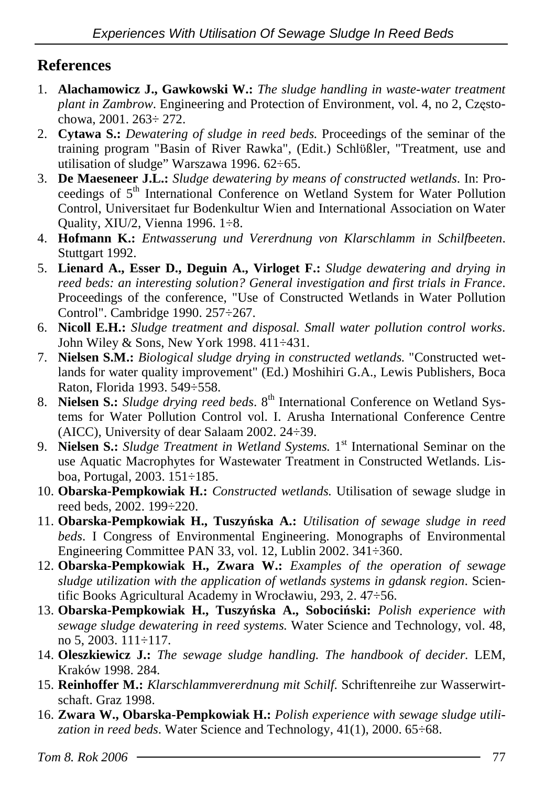### **References**

- 1. **Alachamowicz J., Gawkowski W.:** *The sludge handling in waste-water treatment plant in Zambrow*. Engineering and Protection of Environment, vol. 4, no 2, Częstochowa, 2001. 263÷ 272.
- 2. **Cytawa S.:** *Dewatering of sludge in reed beds.* Proceedings of the seminar of the training program "Basin of River Rawka", (Edit.) Schlϋßler, "Treatment, use and utilisation of sludge" Warszawa 1996. 62÷65.
- 3. **De Maeseneer J.L.:** *Sludge dewatering by means of constructed wetlands*. In: Proceedings of 5<sup>th</sup> International Conference on Wetland System for Water Pollution Control, Universitaet fur Bodenkultur Wien and International Association on Water Quality, XIU/2, Vienna 1996. 1÷8.
- 4. **Hofmann K.:** *Entwasserung und Vererdnung von Klarschlamm in Schilfbeeten*. Stuttgart 1992.
- 5. **Lienard A., Esser D., Deguin A., Virloget F.:** *Sludge dewatering and drying in reed beds: an interesting solution? General investigation and first trials in France*. Proceedings of the conference, "Use of Constructed Wetlands in Water Pollution Control". Cambridge 1990. 257÷267.
- 6. **Nicoll E.H.:** *Sludge treatment and disposal. Small water pollution control works*. John Wiley & Sons, New York 1998. 411÷431.
- 7. **Nielsen S.M.:** *Biological sludge drying in constructed wetlands.* "Constructed wetlands for water quality improvement" (Ed.) Moshihiri G.A., Lewis Publishers, Boca Raton, Florida 1993. 549÷558.
- 8. **Nielsen S.:** *Sludge drying reed beds*. 8<sup>th</sup> International Conference on Wetland Systems for Water Pollution Control vol. I. Arusha International Conference Centre (AICC), University of dear Salaam 2002. 24÷39.
- 9. **Nielsen S.:** *Sludge Treatment in Wetland Systems.* 1<sup>st</sup> International Seminar on the use Aquatic Macrophytes for Wastewater Treatment in Constructed Wetlands. Lisboa, Portugal, 2003. 151÷185.
- 10. **Obarska-Pempkowiak H.:** *Constructed wetlands.* Utilisation of sewage sludge in reed beds, 2002. 199÷220.
- 11. **Obarska-Pempkowiak H., Tuszy**ń**ska A.:** *Utilisation of sewage sludge in reed beds*. I Congress of Environmental Engineering. Monographs of Environmental Engineering Committee PAN 33, vol. 12, Lublin 2002. 341÷360.
- 12. **Obarska-Pempkowiak H., Zwara W.:** *Examples of the operation of sewage sludge utilization with the application of wetlands systems in gdansk region*. Scientific Books Agricultural Academy in Wrocławiu, 293, 2. 47÷56.
- 13. **Obarska-Pempkowiak H., Tuszy**ń**ska A., Soboci**ń**ski:** *Polish experience with sewage sludge dewatering in reed systems.* Water Science and Technology, vol. 48, no 5, 2003. 111÷117.
- 14. **Oleszkiewicz J.:** *The sewage sludge handling. The handbook of decider.* LEM, Kraków 1998. 284.
- 15. **Reinhoffer M.:** *Klarschlammvererdnung mit Schilf*. Schriftenreihe zur Wasserwirtschaft. Graz 1998.
- 16. **Zwara W., Obarska-Pempkowiak H.:** *Polish experience with sewage sludge utilization in reed beds*. Water Science and Technology, 41(1), 2000. 65÷68.